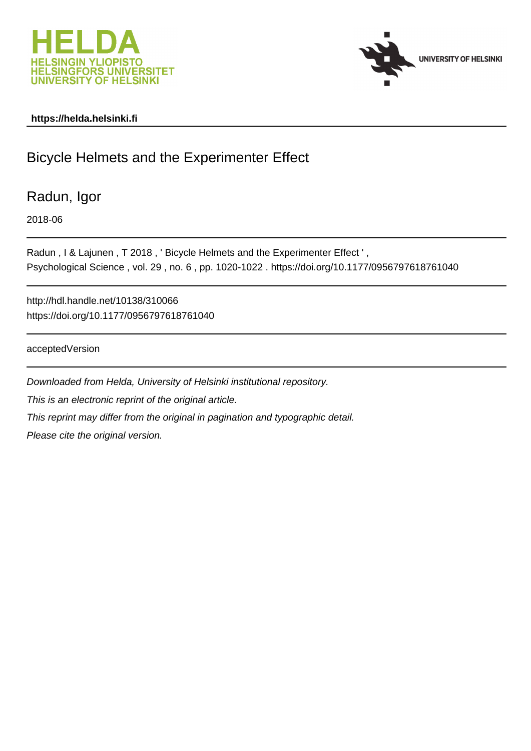



## **https://helda.helsinki.fi**

# Bicycle Helmets and the Experimenter Effect

Radun, Igor

2018-06

Radun , I & Lajunen , T 2018 , ' Bicycle Helmets and the Experimenter Effect ' , Psychological Science , vol. 29 , no. 6 , pp. 1020-1022 . https://doi.org/10.1177/0956797618761040

http://hdl.handle.net/10138/310066 https://doi.org/10.1177/0956797618761040

acceptedVersion

Downloaded from Helda, University of Helsinki institutional repository. This is an electronic reprint of the original article. This reprint may differ from the original in pagination and typographic detail. Please cite the original version.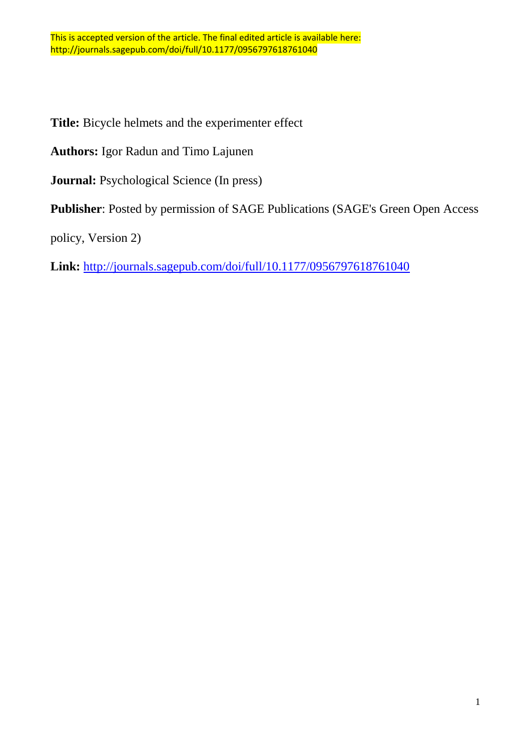**Title:** Bicycle helmets and the experimenter effect

**Authors:** Igor Radun and Timo Lajunen

**Journal:** Psychological Science (In press)

**Publisher**: Posted by permission of SAGE Publications (SAGE's Green Open Access

policy, Version 2)

**Link:** <http://journals.sagepub.com/doi/full/10.1177/0956797618761040>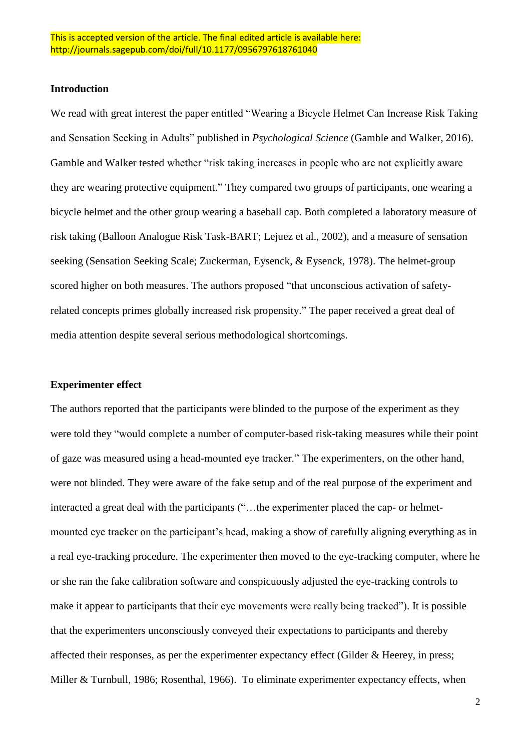## **Introduction**

We read with great interest the paper entitled "Wearing a Bicycle Helmet Can Increase Risk Taking and Sensation Seeking in Adults" published in *Psychological Science* (Gamble and Walker, 2016). Gamble and Walker tested whether "risk taking increases in people who are not explicitly aware they are wearing protective equipment." They compared two groups of participants, one wearing a bicycle helmet and the other group wearing a baseball cap. Both completed a laboratory measure of risk taking (Balloon Analogue Risk Task-BART; Lejuez et al., 2002), and a measure of sensation seeking (Sensation Seeking Scale; Zuckerman, Eysenck, & Eysenck, 1978). The helmet-group scored higher on both measures. The authors proposed "that unconscious activation of safetyrelated concepts primes globally increased risk propensity." The paper received a great deal of media attention despite several serious methodological shortcomings.

## **Experimenter effect**

The authors reported that the participants were blinded to the purpose of the experiment as they were told they "would complete a number of computer-based risk-taking measures while their point of gaze was measured using a head-mounted eye tracker." The experimenters, on the other hand, were not blinded. They were aware of the fake setup and of the real purpose of the experiment and interacted a great deal with the participants ("…the experimenter placed the cap- or helmetmounted eye tracker on the participant's head, making a show of carefully aligning everything as in a real eye-tracking procedure. The experimenter then moved to the eye-tracking computer, where he or she ran the fake calibration software and conspicuously adjusted the eye-tracking controls to make it appear to participants that their eye movements were really being tracked"). It is possible that the experimenters unconsciously conveyed their expectations to participants and thereby affected their responses, as per the experimenter expectancy effect (Gilder & Heerey, in press; Miller & Turnbull, 1986; Rosenthal, 1966). To eliminate experimenter expectancy effects, when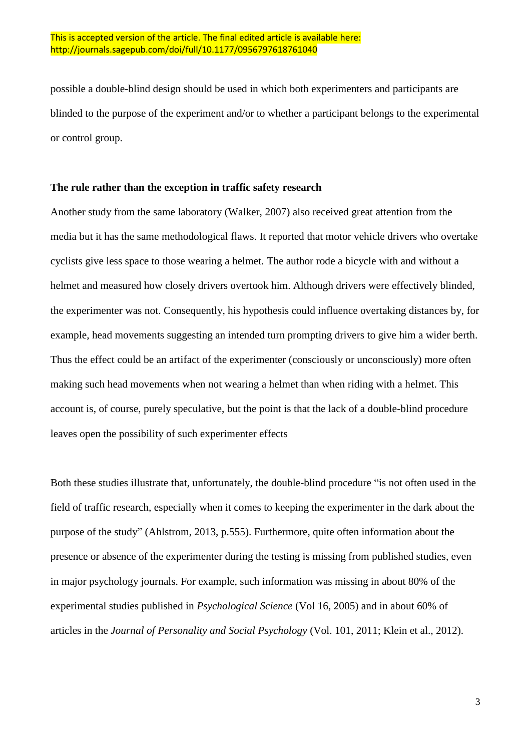possible a double-blind design should be used in which both experimenters and participants are blinded to the purpose of the experiment and/or to whether a participant belongs to the experimental or control group.

## **The rule rather than the exception in traffic safety research**

Another study from the same laboratory (Walker, 2007) also received great attention from the media but it has the same methodological flaws. It reported that motor vehicle drivers who overtake cyclists give less space to those wearing a helmet. The author rode a bicycle with and without a helmet and measured how closely drivers overtook him. Although drivers were effectively blinded, the experimenter was not. Consequently, his hypothesis could influence overtaking distances by, for example, head movements suggesting an intended turn prompting drivers to give him a wider berth. Thus the effect could be an artifact of the experimenter (consciously or unconsciously) more often making such head movements when not wearing a helmet than when riding with a helmet. This account is, of course, purely speculative, but the point is that the lack of a double-blind procedure leaves open the possibility of such experimenter effects

Both these studies illustrate that, unfortunately, the double-blind procedure "is not often used in the field of traffic research, especially when it comes to keeping the experimenter in the dark about the purpose of the study" (Ahlstrom, 2013, p.555). Furthermore, quite often information about the presence or absence of the experimenter during the testing is missing from published studies, even in major psychology journals. For example, such information was missing in about 80% of the experimental studies published in *Psychological Science* (Vol 16, 2005) and in about 60% of articles in the *Journal of Personality and Social Psychology* (Vol. 101, 2011; Klein et al., 2012).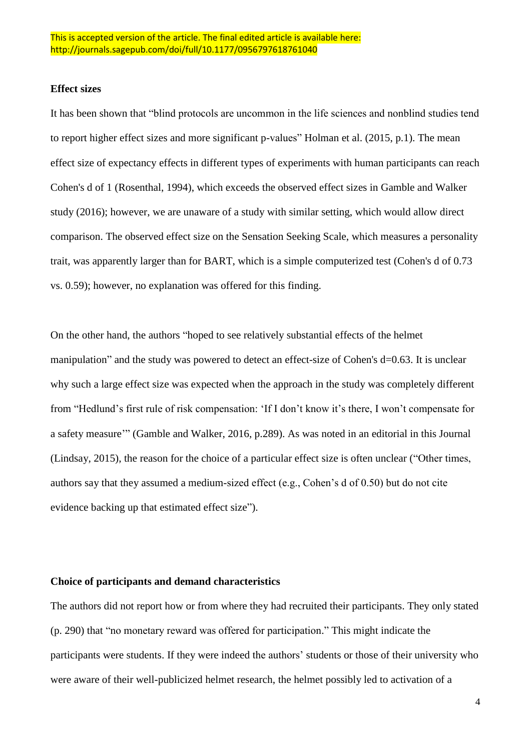#### **Effect sizes**

It has been shown that "blind protocols are uncommon in the life sciences and nonblind studies tend to report higher effect sizes and more significant p-values" Holman et al. (2015, p.1). The mean effect size of expectancy effects in different types of experiments with human participants can reach Cohen's d of 1 (Rosenthal, 1994), which exceeds the observed effect sizes in Gamble and Walker study (2016); however, we are unaware of a study with similar setting, which would allow direct comparison. The observed effect size on the Sensation Seeking Scale, which measures a personality trait, was apparently larger than for BART, which is a simple computerized test (Cohen's d of 0.73 vs. 0.59); however, no explanation was offered for this finding.

On the other hand, the authors "hoped to see relatively substantial effects of the helmet manipulation" and the study was powered to detect an effect-size of Cohen's d=0.63. It is unclear why such a large effect size was expected when the approach in the study was completely different from "Hedlund's first rule of risk compensation: 'If I don't know it's there, I won't compensate for a safety measure'" (Gamble and Walker, 2016, p.289). As was noted in an editorial in this Journal (Lindsay, 2015), the reason for the choice of a particular effect size is often unclear ("Other times, authors say that they assumed a medium-sized effect (e.g., Cohen's d of 0.50) but do not cite evidence backing up that estimated effect size").

## **Choice of participants and demand characteristics**

The authors did not report how or from where they had recruited their participants. They only stated (p. 290) that "no monetary reward was offered for participation." This might indicate the participants were students. If they were indeed the authors' students or those of their university who were aware of their well-publicized helmet research, the helmet possibly led to activation of a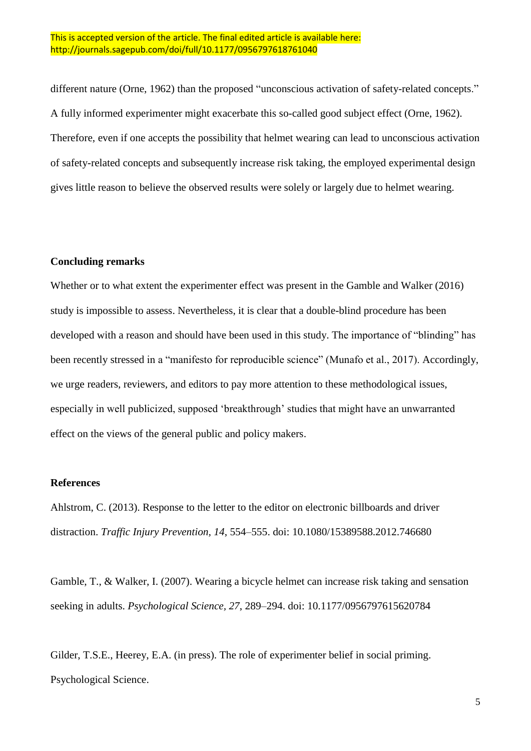### This is accepted version of the article. The final edited article is available here: http://journals.sagepub.com/doi/full/10.1177/0956797618761040

different nature (Orne, 1962) than the proposed "unconscious activation of safety-related concepts." A fully informed experimenter might exacerbate this so-called good subject effect (Orne, 1962). Therefore, even if one accepts the possibility that helmet wearing can lead to unconscious activation of safety-related concepts and subsequently increase risk taking, the employed experimental design gives little reason to believe the observed results were solely or largely due to helmet wearing.

## **Concluding remarks**

Whether or to what extent the experimenter effect was present in the Gamble and Walker (2016) study is impossible to assess. Nevertheless, it is clear that a double-blind procedure has been developed with a reason and should have been used in this study. The importance of "blinding" has been recently stressed in a "manifesto for reproducible science" (Munafo et al., 2017). Accordingly, we urge readers, reviewers, and editors to pay more attention to these methodological issues, especially in well publicized, supposed 'breakthrough' studies that might have an unwarranted effect on the views of the general public and policy makers.

## **References**

Ahlstrom, C. (2013). Response to the letter to the editor on electronic billboards and driver distraction. *Traffic Injury Prevention, 14*, 554–555. doi: 10.1080/15389588.2012.746680

Gamble, T., & Walker, I. (2007). Wearing a bicycle helmet can increase risk taking and sensation seeking in adults. *Psychological Science, 27*, 289–294. doi: 10.1177/0956797615620784

Gilder, T.S.E., Heerey, E.A. (in press). The role of experimenter belief in social priming. Psychological Science.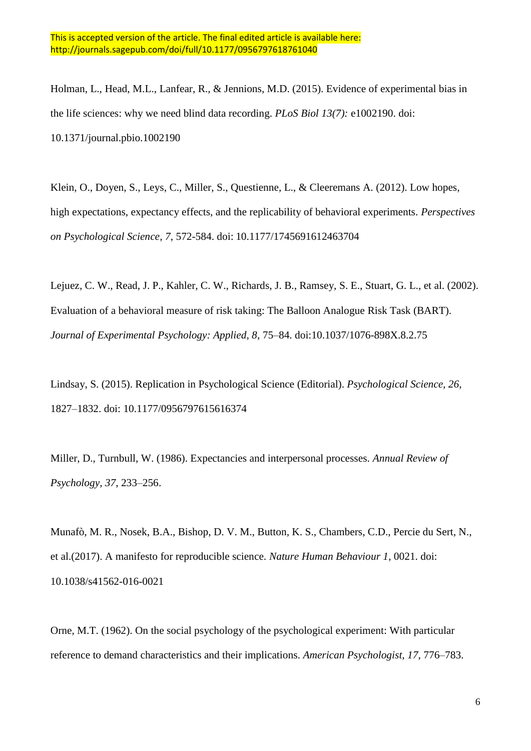Holman, L., Head, M.L., Lanfear, R., & Jennions, M.D. (2015). Evidence of experimental bias in the life sciences: why we need blind data recording. *PLoS Biol 13(7):* e1002190. doi: 10.1371/journal.pbio.1002190

Klein, O., Doyen, S., Leys, C., Miller, S., Questienne, L., & Cleeremans A. (2012). Low hopes, high expectations, expectancy effects, and the replicability of behavioral experiments. *Perspectives on Psychological Science, 7*, 572-584. doi: 10.1177/1745691612463704

Lejuez, C. W., Read, J. P., Kahler, C. W., Richards, J. B., Ramsey, S. E., Stuart, G. L., et al. (2002). Evaluation of a behavioral measure of risk taking: The Balloon Analogue Risk Task (BART). *Journal of Experimental Psychology: Applied, 8*, 75–84. doi:10.1037/1076-898X.8.2.75

Lindsay, S. (2015). Replication in Psychological Science (Editorial). *Psychological Science, 26*, 1827–1832. doi: 10.1177/0956797615616374

Miller, D., Turnbull, W. (1986). Expectancies and interpersonal processes. *Annual Review of Psychology, 37*, 233–256.

Munafò, M. R., Nosek, B.A., Bishop, D. V. M., Button, K. S., Chambers, C.D., Percie du Sert, N., et al.(2017). A manifesto for reproducible science. *Nature Human Behaviour 1*, 0021. doi: 10.1038/s41562-016-0021

Orne, M.T. (1962). On the social psychology of the psychological experiment: With particular reference to demand characteristics and their implications. *American Psychologist, 17*, 776–783.